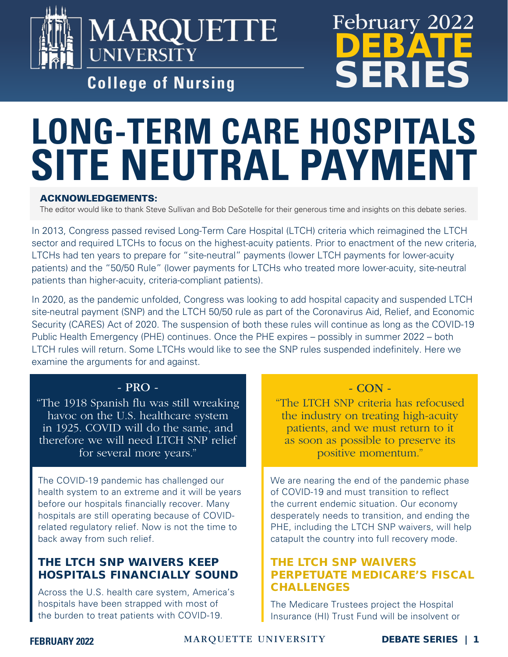



# **DEBATE** SERIES February 2022

**College of Nursing**

# **LONG-TERM CARE HOSPITALS SITE NEUTRAL PAYMENT**

### ACKNOWLEDGEMENTS:

The editor would like to thank Steve Sullivan and Bob DeSotelle for their generous time and insights on this debate series.

In 2013, Congress passed revised Long-Term Care Hospital (LTCH) criteria which reimagined the LTCH sector and required LTCHs to focus on the highest-acuity patients. Prior to enactment of the new criteria, LTCHs had ten years to prepare for "site-neutral" payments (lower LTCH payments for lower-acuity patients) and the "50/50 Rule" (lower payments for LTCHs who treated more lower-acuity, site-neutral patients than higher-acuity, criteria-compliant patients).

In 2020, as the pandemic unfolded, Congress was looking to add hospital capacity and suspended LTCH site-neutral payment (SNP) and the LTCH 50/50 rule as part of the Coronavirus Aid, Relief, and Economic Security (CARES) Act of 2020. The suspension of both these rules will continue as long as the COVID-19 Public Health Emergency (PHE) continues. Once the PHE expires – possibly in summer 2022 – both LTCH rules will return. Some LTCHs would like to see the SNP rules suspended indefinitely. Here we examine the arguments for and against.

### - PRO -

"The 1918 Spanish flu was still wreaking havoc on the U.S. healthcare system in 1925. COVID will do the same, and therefore we will need LTCH SNP relief for several more years."

The COVID-19 pandemic has challenged our health system to an extreme and it will be years before our hospitals financially recover. Many hospitals are still operating because of COVIDrelated regulatory relief. Now is not the time to back away from such relief.

### THE LTCH SNP WAIVERS KEEP HOSPITALS FINANCIALLY SOUND

Across the U.S. health care system, America's hospitals have been strapped with most of the burden to treat patients with COVID-19.

### - CON -

"The LTCH SNP criteria has refocused the industry on treating high-acuity patients, and we must return to it as soon as possible to preserve its positive momentum."

We are nearing the end of the pandemic phase of COVID-19 and must transition to reflect the current endemic situation. Our economy desperately needs to transition, and ending the PHE, including the LTCH SNP waivers, will help catapult the country into full recovery mode.

### THE LTCH SNP WAIVERS PERPETUATE MEDICARE'S FISCAL CHALLENGES

The Medicare Trustees project the Hospital Insurance (HI) Trust Fund will be insolvent or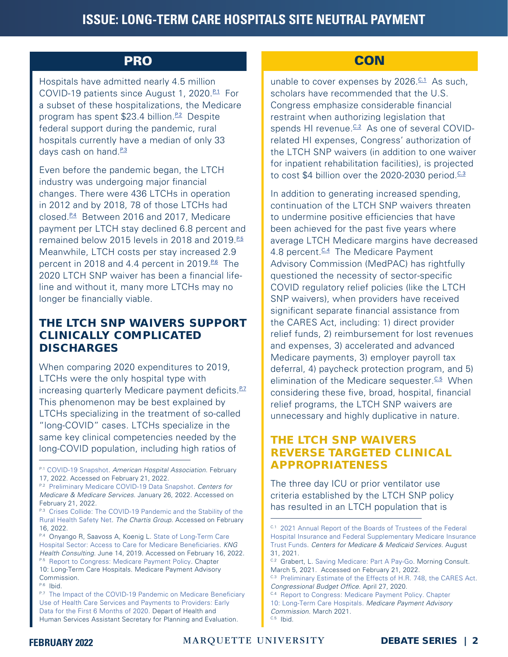Hospitals have admitted nearly 4.5 million COVID-19 patients since August 1, 2020.<sup>[P.1](#page-1-0)</sup> For a subset of these hospitalizations, the Medicare program has spent \$23.4 billion.<sup>[P.2](#page-1-1)</sup> Despite federal support during the pandemic, rural hospitals currently have a median of only 33 days cash on hand. $E<sup>3</sup>$ 

Even before the pandemic began, the LTCH industry was undergoing major financial changes. There were 436 LTCHs in operation in 2012 and by 2018, 78 of those LTCHs had closed.<sup>[P.4](#page-1-3)</sup> Between 2016 and 2017, Medicare payment per LTCH stay declined 6.8 percent and remained below 2015 levels in 2018 and 2019.<sup>[P.5](#page-1-4)</sup> Meanwhile, LTCH costs per stay increased 2.9 percent in 2018 and 4.4 percent in 2019. $E6$  The 2020 LTCH SNP waiver has been a financial lifeline and without it, many more LTCHs may no longer be financially viable.

### THE LTCH SNP WAIVERS SUPPORT CLINICALLY COMPLICATED **DISCHARGES**

When comparing 2020 expenditures to 2019, LTCHs were the only hospital type with increasing quarterly Medicare payment deficits.<sup>[P.7](#page-1-6)</sup> This phenomenon may be best explained by LTCHs specializing in the treatment of so-called "long-COVID" cases. LTCHs specialize in the same key clinical competencies needed by the long-COVID population, including high ratios of

<span id="page-1-4"></span>10: Long-Term Care Hospitals. Medicare Payment Advisory Commission. P.6 Ibid.

### PRO And the state of the contract of the contract of the contract of the contract of the contract of the contract of the contract of the contract of the contract of the contract of the contract of the contract of the contr

unable to cover expenses by  $2026$ .<sup> $c$ 1</sup> As such, scholars have recommended that the U.S. Congress emphasize considerable financial restraint when authorizing legislation that spends HI revenue.<sup>c.2</sup> As one of several COVIDrelated HI expenses, Congress' authorization of the LTCH SNP waivers (in addition to one waiver for inpatient rehabilitation facilities), is projected to cost \$4 billion over the 2020-2030 period. $C<sub>3</sub>$ 

In addition to generating increased spending, continuation of the LTCH SNP waivers threaten to undermine positive efficiencies that have been achieved for the past five years where average LTCH Medicare margins have decreased 4.8 percent.<sup>[C.4](#page-1-10)</sup> The Medicare Payment Advisory Commission (MedPAC) has rightfully questioned the necessity of sector-specific COVID regulatory relief policies (like the LTCH SNP waivers), when providers have received significant separate financial assistance from the CARES Act, including: 1) direct provider relief funds, 2) reimbursement for lost revenues and expenses, 3) accelerated and advanced Medicare payments, 3) employer payroll tax deferral, 4) paycheck protection program, and 5) elimination of the Medicare sequester.<sup>[C.5](#page-1-11)</sup> When considering these five, broad, hospital, financial relief programs, the LTCH SNP waivers are unnecessary and highly duplicative in nature.

### THE LTCH SNP WAIVERS REVERSE TARGETED CLINICAL APPROPRIATENESS

The three day ICU or prior ventilator use criteria established by the LTCH SNP policy has resulted in an LTCH population that is

<span id="page-1-11"></span><span id="page-1-10"></span>C.4 Report to Congress: Medicare Payment Policy. Chapter [10: Long-Term Care Hospitals.](https://www.medpac.gov/wp-content/uploads/2021/10/mar21_medpac_report_ch10_sec.pdf) *Medicare Payment Advisory Commission*. March 2021.  $C.5$  Ibid.

<span id="page-1-0"></span>P.1 [COVID-19 Snapshot.](https://www.aha.org/system/files/media/file/2022/02/Feb-17-COVID-19-Snapshot.pdf) *American Hospital Association*. February 17, 2022. Accessed on February 21, 2022.

<span id="page-1-1"></span>P.2 [Preliminary Medicare COVID-19 Data Snapshot](https://www.google.com/search?client=firefox-b-1-d&q=cms+covid+snapshot). *Centers for Medicare & Medicare Services*. January 26, 2022. Accessed on February 21, 2022.

<span id="page-1-2"></span>P.3 Crises Collide: The COVID-19 Pandemic and the Stability of the [Rural Health Safety Net.](https://www.chartis.com/resources/files/Crises-Collide-Rural-Health-Safety-Net-Report-Feb-2021.pdf) *The Chartis Group*. Accessed on February 16, 2022.

<span id="page-1-3"></span>P.4 Onyango R, Saavoss A, Koenig L. State of Long-Term Care [Hospital Sector: Access to Care for Medicare Beneficiaries](https://cdn.ymaws.com/nalth.site-ym.com/resource/resmgr/members/research/research_briefs_and_white_papers/white_paper_ltchaccess.pdf). *KNG Health Consulting*. June 14, 2019. Accessed on February 16, 2022. P.5 [Report to Congress: Medicare Payment Policy](https://www.medpac.gov/wp-content/uploads/2021/10/mar21_medpac_report_ch10_sec.pdf March 2021). Chapter

<span id="page-1-6"></span><span id="page-1-5"></span>P.7 The Impact of the COVID-19 Pandemic on Medicare Beneficiary [Use of Health Care Services and Payments to Providers: Early](https://aspe.hhs.gov/sites/default/files/private/pdf/264071/Medicare-FFS-Spending-Utilization.pdf)  [Data for the First 6 Months of 2020.](https://aspe.hhs.gov/sites/default/files/private/pdf/264071/Medicare-FFS-Spending-Utilization.pdf) Depart of Health and Human Services Assistant Secretary for Planning and Evaluation.

<span id="page-1-7"></span>C.1 [2021 Annual Report of the Boards of Trustees of the Federal](https://www.cms.gov/files/document/2021-medicare-trustees-report.pdf)  [Hospital Insurance and Federal Supplementary Medicare Insurance](https://www.cms.gov/files/document/2021-medicare-trustees-report.pdf)  [Trust Funds](https://www.cms.gov/files/document/2021-medicare-trustees-report.pdf). *Centers for Medicare & Medicaid Services*. August 31, 2021.

<span id="page-1-8"></span>c.2 Grabert, L. [Saving Medicare: Part A Pay-Go.](https://morningconsult.com/opinions/saving-medicare-part-a-paygo/) Morning Consult. March 5, 2021. Accessed on February 21, 2022.

<span id="page-1-9"></span>C.3 [Preliminary Estimate of the Effects of H.R. 748, the CARES Act](https://www.cbo.gov/system/files/2020-04/hr748.pdf). Congressional Budget Office. April 27, 2020.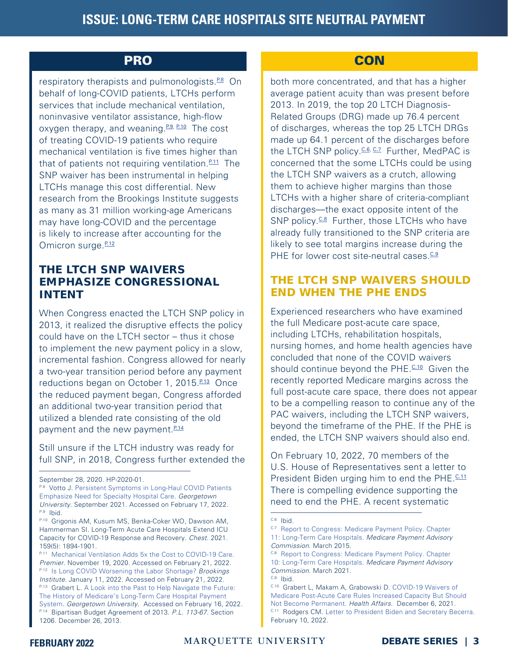respiratory therapists and pulmonologists.<sup>[P.8](#page-2-0)</sup> On behalf of long-COVID patients, LTCHs perform services that include mechanical ventilation, noninvasive ventilator assistance, high-flow oxygen therapy, and weaning. $P.9, P.10$  $P.9, P.10$  $P.9, P.10$  The cost of treating COVID-19 patients who require mechanical ventilation is five times higher than that of patients not requiring ventilation. $P.11$  The SNP waiver has been instrumental in helping LTCHs manage this cost differential. New research from the Brookings Institute suggests as many as 31 million working-age Americans may have long-COVID and the percentage is likely to increase after accounting for the Omicron surge.<sup>[P.12](#page-2-4)</sup>

### THE LTCH SNP WAIVERS EMPHASIZE CONGRESSIONAL INTENT

When Congress enacted the LTCH SNP policy in 2013, it realized the disruptive effects the policy could have on the LTCH sector – thus it chose to implement the new payment policy in a slow, incremental fashion. Congress allowed for nearly a two-year transition period before any payment reductions began on October 1, 2015.<sup>[P.13](#page-2-5)</sup> Once the reduced payment began, Congress afforded an additional two-year transition period that utilized a blended rate consisting of the old payment and the new payment.<sup>[P.14](#page-2-6)</sup>

Still unsure if the LTCH industry was ready for full SNP, in 2018, Congress further extended the

<span id="page-2-0"></span>P.8 Votto J. Persistent Symptoms in Long-Haul COVID Patients [Emphasize Need for Specialty Hospital Care](https://georgetown.app.box.com/s/bp1gstfja0jntrdfld9a31hn3mme0ci2). *Georgetown University*. September 2021. Accessed on February 17, 2022. P.9 Ibid.

<span id="page-2-2"></span><span id="page-2-1"></span>P.10 Grigonis AM, Kusum MS, Benka-Coker WO, Dawson AM, Hammerman SI. Long-Term Acute Care Hospitals Extend ICU Capacity for COVID-19 Response and Recovery. *Chest*. 2021. 159(5): 1894-1901.

### PRO And the contract of the contract of the contract of the contract of the contract of the contract of the con

both more concentrated, and that has a higher average patient acuity than was present before 2013. In 2019, the top 20 LTCH Diagnosis-Related Groups (DRG) made up 76.4 percent of discharges, whereas the top 25 LTCH DRGs made up 64.1 percent of the discharges before the LTCH SNP policy.<sup>[C.6](#page-2-7), [C.7](#page-2-8)</sup> Further, MedPAC is concerned that the some LTCHs could be using the LTCH SNP waivers as a crutch, allowing them to achieve higher margins than those LTCHs with a higher share of criteria-compliant discharges—the exact opposite intent of the SNP policy. $C.8$  Further, those LTCHs who have already fully transitioned to the SNP criteria are likely to see total margins increase during the PHE for lower cost site-neutral cases. $C.9$ 

### THE LTCH SNP WAIVERS SHOULD END WHEN THE PHE ENDS

Experienced researchers who have examined the full Medicare post-acute care space, including LTCHs, rehabilitation hospitals, nursing homes, and home health agencies have concluded that none of the COVID waivers should continue beyond the PHE.<sup>[C.10](#page-2-11)</sup> Given the recently reported Medicare margins across the full post-acute care space, there does not appear to be a compelling reason to continue any of the PAC waivers, including the LTCH SNP waivers, beyond the timeframe of the PHE. If the PHE is ended, the LTCH SNP waivers should also end.

On February 10, 2022, 70 members of the U.S. House of Representatives sent a letter to President Biden urging him to end the PHE.<sup>[C.11](#page-2-12)</sup> There is compelling evidence supporting the need to end the PHE. A recent systematic

September 28, 2020. HP-2020-01.

<span id="page-2-6"></span><span id="page-2-5"></span><span id="page-2-4"></span><span id="page-2-3"></span>P.11 [Mechanical Ventilation Adds 5x the Cost to COVID-19 Care](https://www.premierinc.com/newsroom/blog/mechanical-ventilation-adds-5x-the-cost-to-covid-19-care). *Premier*. November 19, 2020. Accessed on February 21, 2022. P.12 [Is Long COVID Worsening the Labor Shortage?](https://www.brookings.edu/research/is-long-covid-worsening-the-labor-shortage/) *Brookings Institute*. January 11, 2022. Accessed on February 21, 2022. P.13 Grabert L. A Look into the Past to Help Navigate the Future: [The History of Medicare's Long-Term Care Hospital Payment](https://georgetown.app.box.com/s/thygo8nug7u2pk9q9qocyewryxjfutly)  [System.](https://georgetown.app.box.com/s/thygo8nug7u2pk9q9qocyewryxjfutly) *Georgetown University*. Accessed on February 16, 2022. P.14 Bipartisan Budget Agreement of 2013. *P.L. 113-67*. Section 1206. December 26, 2013.

<span id="page-2-7"></span>C.6 Ibid.

<span id="page-2-8"></span>c.7 Report to Congress: Medicare Payment Policy. Chapter [11: Long-Term Care Hospitals.](https://www.medpac.gov/wp-content/uploads/import_data/scrape_files/docs/default-source/reports/chapter-11-long-term-care-hospital-services-march-2015-report-.pdf) *Medicare Payment Advisory Commission*. March 2015.

<span id="page-2-9"></span>C.8 [Report to Congress: Medicare Payment Policy. Chapter](https://www.medpac.gov/wp-content/uploads/2021/10/mar21_medpac_report_ch10_sec.pdf)  [10: Long-Term Care Hospitals.](https://www.medpac.gov/wp-content/uploads/2021/10/mar21_medpac_report_ch10_sec.pdf) *Medicare Payment Advisory Commission*. March 2021.

<span id="page-2-10"></span>C.9 Ibid.

<span id="page-2-12"></span><span id="page-2-11"></span>C.10 Grabert L, Makam A, Grabowski D. [COVID-19 Waivers of](https://www.healthaffairs.org/do/10.1377/forefront.20211202.867311/)  [Medicare Post-Acute Care Rules Increased Capacity But Should](https://www.healthaffairs.org/do/10.1377/forefront.20211202.867311/)  Not Become Permanent. *Health Affairs*. December 6, 2021.<br><sup>C.11</sup> Rodgers CM. [Letter to President Biden and Secretary Becerra](https://republicans-energycommerce.house.gov/wp-content/uploads/2022/02/2022.02.07-PHE-Letter.pdf). February 10, 2022.